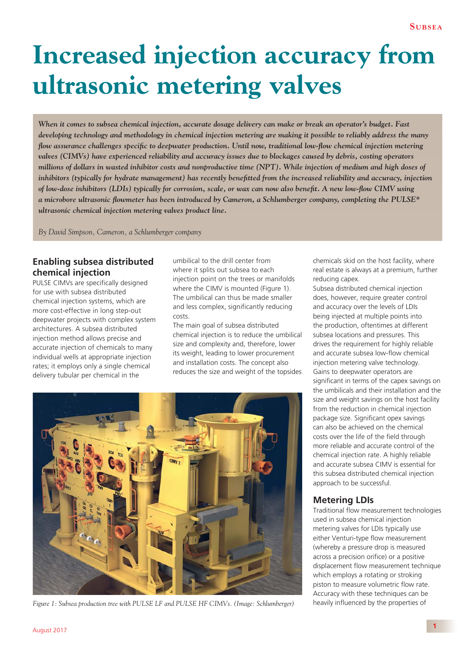# **Increased injection accuracy from ultrasonic metering valves**

*When it comes to subsea chemical injection, accurate dosage delivery can make or break an operator's budget. Fast developing technology and methodology in chemical injection metering are making it possible to reliably address the many flow assurance challenges specific to deepwater production. Until now, traditional low-flow chemical injection metering valves (CIMVs) have experienced reliability and accuracy issues due to blockages caused by debris, costing operators millions of dollars in wasted inhibitor costs and nonproductive time (NPT). While injection of medium and high doses of inhibitors (typically for hydrate management) has recently benefitted from the increased reliability and accuracy, injection of low-dose inhibitors (LDIs) typically for corrosion, scale, or wax can now also benefit. A new low-flow CIMV using a microbore ultrasonic fl owmeter has been introduced by Cameron, a Schlumberger company, completing the PULSE\* ultrasonic chemical injection metering valves product line.*

*By David Simpson, Cameron, a Schlumberger company*

## **Enabling subsea distributed chemical injection**

PULSE CIMVs are specifically designed for use with subsea distributed chemical injection systems, which are more cost-effective in long step-out deepwater projects with complex system architectures. A subsea distributed injection method allows precise and accurate injection of chemicals to many individual wells at appropriate injection rates; it employs only a single chemical delivery tubular per chemical in the

umbilical to the drill center from where it splits out subsea to each injection point on the trees or manifolds where the CIMV is mounted (Figure 1). The umbilical can thus be made smaller and less complex, significantly reducing costs.

The main goal of subsea distributed chemical injection is to reduce the umbilical size and complexity and, therefore, lower its weight, leading to lower procurement and installation costs. The concept also reduces the size and weight of the topsides



*Figure 1: Subsea production tree with PULSE LF and PULSE HF CIMVs. (Image: Schlumberger)* heavily influenced by the properties of

chemicals skid on the host facility, where real estate is always at a premium, further reducing capex.

Subsea distributed chemical injection does, however, require greater control and accuracy over the levels of LDIs being injected at multiple points into the production, oftentimes at different subsea locations and pressures. This drives the requirement for highly reliable and accurate subsea low-flow chemical injection metering valve technology. Gains to deepwater operators are significant in terms of the capex savings on the umbilicals and their installation and the size and weight savings on the host facility from the reduction in chemical injection package size. Significant opex savings can also be achieved on the chemical costs over the life of the field through more reliable and accurate control of the chemical injection rate. A highly reliable and accurate subsea CIMV is essential for this subsea distributed chemical injection approach to be successful.

#### **Metering LDIs**

Traditional flow measurement technologies used in subsea chemical injection metering valves for LDIs typically use either Venturi-type flow measurement (whereby a pressure drop is measured across a precision orifice) or a positive displacement flow measurement technique which employs a rotating or stroking piston to measure volumetric flow rate. Accuracy with these techniques can be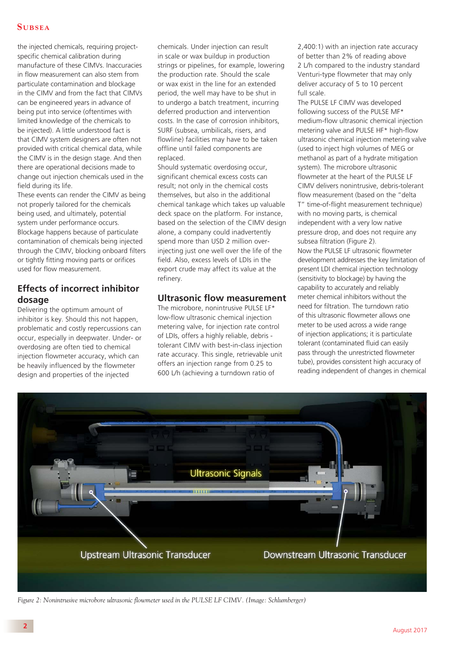#### **S UBSEA**

the injected chemicals, requiring projectspecific chemical calibration during manufacture of these CIMVs. Inaccuracies in flow measurement can also stem from particulate contamination and blockage in the CIMV and from the fact that CIMVs can be engineered years in advance of being put into service (oftentimes with limited knowledge of the chemicals to be injected). A little understood fact is that CIMV system designers are often not provided with critical chemical data, while the CIMV is in the design stage. And then there are operational decisions made to change out injection chemicals used in the field during its life.

These events can render the CIMV as being not properly tailored for the chemicals being used, and ultimately, potential system under performance occurs. Blockage happens because of particulate contamination of chemicals being injected through the CIMV, blocking onboard filters or tightly fitting moving parts or orifices used for flow measurement.

# **Effects of incorrect inhibitor dosage**

Delivering the optimum amount of inhibitor is key. Should this not happen, problematic and costly repercussions can occur, especially in deepwater. Under- or overdosing are often tied to chemical injection flowmeter accuracy, which can be heavily influenced by the flowmeter design and properties of the injected

chemicals. Under injection can result in scale or wax buildup in production strings or pipelines, for example, lowering the production rate. Should the scale or wax exist in the line for an extended period, the well may have to be shut in to undergo a batch treatment, incurring deferred production and intervention costs. In the case of corrosion inhibitors, SURF (subsea, umbilicals, risers, and flowline) facilities may have to be taken offline until failed components are replaced.

Should systematic overdosing occur, significant chemical excess costs can result; not only in the chemical costs themselves, but also in the additional chemical tankage which takes up valuable deck space on the platform. For instance, based on the selection of the CIMV design alone, a company could inadvertently spend more than USD 2 million overinjecting just one well over the life of the field. Also, excess levels of LDIs in the export crude may affect its value at the refinery.

#### **Ultrasonic flow measurement**

The microbore, nonintrusive PULSE LF\* low-flow ultrasonic chemical injection metering valve, for injection rate control of LDIs, offers a highly reliable, debris tolerant CIMV with best-in-class injection rate accuracy. This single, retrievable unit offers an injection range from 0.25 to 600 L/h (achieving a turndown ratio of

2,400:1) with an injection rate accuracy of better than 2% of reading above 2 L/h compared to the industry standard Venturi-type flowmeter that may only deliver accuracy of 5 to 10 percent full scale.

The PULSE LF CIMV was developed following success of the PULSE MF\* medium-flow ultrasonic chemical injection metering valve and PULSE HF\* high-flow ultrasonic chemical injection metering valve (used to inject high volumes of MEG or methanol as part of a hydrate mitigation system). The microbore ultrasonic flowmeter at the heart of the PULSE LE CIMV delivers nonintrusive, debris-tolerant flow measurement (based on the "delta T" time-of-flight measurement technique) with no moving parts, is chemical independent with a very low native pressure drop, and does not require any subsea filtration (Figure 2). Now the PULSE LF ultrasonic flowmeter development addresses the key limitation of present LDI chemical injection technology (sensitivity to blockage) by having the capability to accurately and reliably meter chemical inhibitors without the need for filtration. The turndown ratio of this ultrasonic flowmeter allows one meter to be used across a wide range of injection applications; it is particulate tolerant (contaminated fluid can easily pass through the unrestricted flowmeter tube), provides consistent high accuracy of reading independent of changes in chemical



*Figure 2: Nonintrusive microbore ultrasonic flowmeter used in the PULSE LF CIMV. (Image: Schlumberger)*